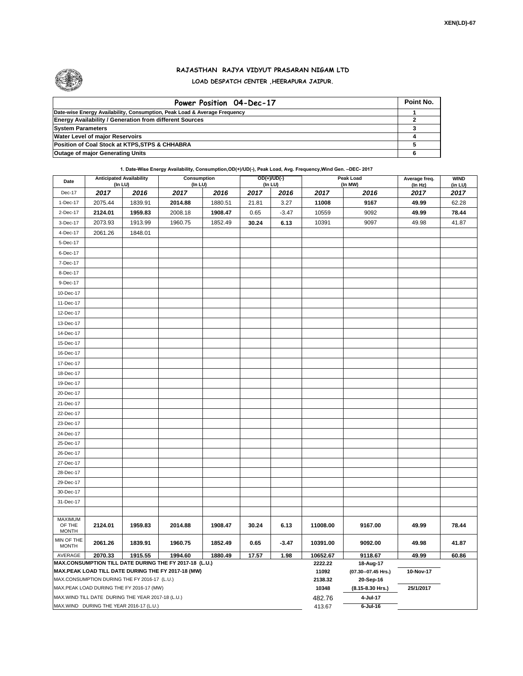

## **RAJASTHAN RAJYA VIDYUT PRASARAN NIGAM LTD LOAD DESPATCH CENTER ,HEERAPURA JAIPUR.**

| Power Position 04-Dec-17                                                  | Point No. |
|---------------------------------------------------------------------------|-----------|
| Date-wise Energy Availability, Consumption, Peak Load & Average Frequency |           |
| <b>Energy Availability / Generation from different Sources</b>            |           |
| <b>System Parameters</b>                                                  |           |
| <b>Water Level of major Reservoirs</b>                                    |           |
| Position of Coal Stock at KTPS, STPS & CHHABRA                            |           |
| <b>Outage of major Generating Units</b>                                   |           |

**1. Date-Wise Energy Availability, Consumption,OD(+)/UD(-), Peak Load, Avg. Frequency,Wind Gen. –DEC- 2017**

| Date                              | <b>Anticipated Availability</b><br>(In LU) |                                                   | Consumption<br>$($ In LU $)$                                                                                 |         |       | OD(+)/UD(-)<br>(In LU) |                  | Peak Load<br>(In MW)               | Average freq.<br>(ln Hz) | <b>WIND</b><br>(in LU) |
|-----------------------------------|--------------------------------------------|---------------------------------------------------|--------------------------------------------------------------------------------------------------------------|---------|-------|------------------------|------------------|------------------------------------|--------------------------|------------------------|
| Dec-17                            | 2017                                       | 2016                                              | 2017                                                                                                         | 2016    | 2017  | 2016                   | 2017             | 2016                               | 2017                     | 2017                   |
| 1-Dec-17                          | 2075.44                                    | 1839.91                                           | 2014.88                                                                                                      | 1880.51 | 21.81 | 3.27                   | 11008            | 9167                               | 49.99                    | 62.28                  |
| 2-Dec-17                          | 2124.01                                    | 1959.83                                           | 2008.18                                                                                                      | 1908.47 | 0.65  | $-3.47$                | 10559            | 9092                               | 49.99                    | 78.44                  |
| 3-Dec-17                          | 2073.93                                    | 1913.99                                           | 1960.75                                                                                                      | 1852.49 | 30.24 | 6.13                   | 10391            | 9097                               | 49.98                    | 41.87                  |
| 4-Dec-17                          | 2061.26                                    | 1848.01                                           |                                                                                                              |         |       |                        |                  |                                    |                          |                        |
| 5-Dec-17                          |                                            |                                                   |                                                                                                              |         |       |                        |                  |                                    |                          |                        |
| 6-Dec-17                          |                                            |                                                   |                                                                                                              |         |       |                        |                  |                                    |                          |                        |
| 7-Dec-17                          |                                            |                                                   |                                                                                                              |         |       |                        |                  |                                    |                          |                        |
| 8-Dec-17                          |                                            |                                                   |                                                                                                              |         |       |                        |                  |                                    |                          |                        |
| 9-Dec-17                          |                                            |                                                   |                                                                                                              |         |       |                        |                  |                                    |                          |                        |
| 10-Dec-17                         |                                            |                                                   |                                                                                                              |         |       |                        |                  |                                    |                          |                        |
| 11-Dec-17                         |                                            |                                                   |                                                                                                              |         |       |                        |                  |                                    |                          |                        |
| 12-Dec-17                         |                                            |                                                   |                                                                                                              |         |       |                        |                  |                                    |                          |                        |
| 13-Dec-17                         |                                            |                                                   |                                                                                                              |         |       |                        |                  |                                    |                          |                        |
| 14-Dec-17                         |                                            |                                                   |                                                                                                              |         |       |                        |                  |                                    |                          |                        |
| 15-Dec-17                         |                                            |                                                   |                                                                                                              |         |       |                        |                  |                                    |                          |                        |
| 16-Dec-17                         |                                            |                                                   |                                                                                                              |         |       |                        |                  |                                    |                          |                        |
| 17-Dec-17                         |                                            |                                                   |                                                                                                              |         |       |                        |                  |                                    |                          |                        |
| 18-Dec-17                         |                                            |                                                   |                                                                                                              |         |       |                        |                  |                                    |                          |                        |
| 19-Dec-17                         |                                            |                                                   |                                                                                                              |         |       |                        |                  |                                    |                          |                        |
| 20-Dec-17                         |                                            |                                                   |                                                                                                              |         |       |                        |                  |                                    |                          |                        |
| 21-Dec-17                         |                                            |                                                   |                                                                                                              |         |       |                        |                  |                                    |                          |                        |
| 22-Dec-17                         |                                            |                                                   |                                                                                                              |         |       |                        |                  |                                    |                          |                        |
| 23-Dec-17                         |                                            |                                                   |                                                                                                              |         |       |                        |                  |                                    |                          |                        |
| 24-Dec-17                         |                                            |                                                   |                                                                                                              |         |       |                        |                  |                                    |                          |                        |
| 25-Dec-17                         |                                            |                                                   |                                                                                                              |         |       |                        |                  |                                    |                          |                        |
| 26-Dec-17                         |                                            |                                                   |                                                                                                              |         |       |                        |                  |                                    |                          |                        |
| 27-Dec-17                         |                                            |                                                   |                                                                                                              |         |       |                        |                  |                                    |                          |                        |
| 28-Dec-17                         |                                            |                                                   |                                                                                                              |         |       |                        |                  |                                    |                          |                        |
| 29-Dec-17                         |                                            |                                                   |                                                                                                              |         |       |                        |                  |                                    |                          |                        |
| 30-Dec-17                         |                                            |                                                   |                                                                                                              |         |       |                        |                  |                                    |                          |                        |
| 31-Dec-17                         |                                            |                                                   |                                                                                                              |         |       |                        |                  |                                    |                          |                        |
|                                   |                                            |                                                   |                                                                                                              |         |       |                        |                  |                                    |                          |                        |
| MAXIMUM<br>OF THE<br><b>MONTH</b> | 2124.01                                    | 1959.83                                           | 2014.88                                                                                                      | 1908.47 | 30.24 | 6.13                   | 11008.00         | 9167.00                            | 49.99                    | 78.44                  |
| MIN OF THE<br><b>MONTH</b>        | 2061.26                                    | 1839.91                                           | 1960.75                                                                                                      | 1852.49 | 0.65  | $-3.47$                | 10391.00         | 9092.00                            | 49.98                    | 41.87                  |
| AVERAGE                           | 2070.33                                    | 1915.55                                           | 1994.60                                                                                                      | 1880.49 | 17.57 | 1.98                   | 10652.67         | 9118.67                            | 49.99                    | 60.86                  |
|                                   |                                            |                                                   | MAX.CONSUMPTION TILL DATE DURING THE FY 2017-18 (L.U.)<br>MAX.PEAK LOAD TILL DATE DURING THE FY 2017-18 (MW) |         |       |                        | 2222.22<br>11092 | 18-Aug-17<br>(07.30 -- 07.45 Hrs.) | 10-Nov-17                |                        |
|                                   |                                            | MAX.CONSUMPTION DURING THE FY 2016-17 (L.U.)      |                                                                                                              |         |       |                        | 2138.32          | 20-Sep-16                          |                          |                        |
|                                   |                                            | MAX.PEAK LOAD DURING THE FY 2016-17 (MW)          |                                                                                                              |         |       |                        | 10348            | (8.15-8.30 Hrs.)                   | 25/1/2017                |                        |
|                                   |                                            | MAX.WIND TILL DATE DURING THE YEAR 2017-18 (L.U.) |                                                                                                              |         |       |                        | 482.76           | 4-Jul-17                           |                          |                        |
|                                   |                                            | MAX.WIND DURING THE YEAR 2016-17 (L.U.)           |                                                                                                              |         |       |                        | 413.67           | $6$ -Jul-16                        |                          |                        |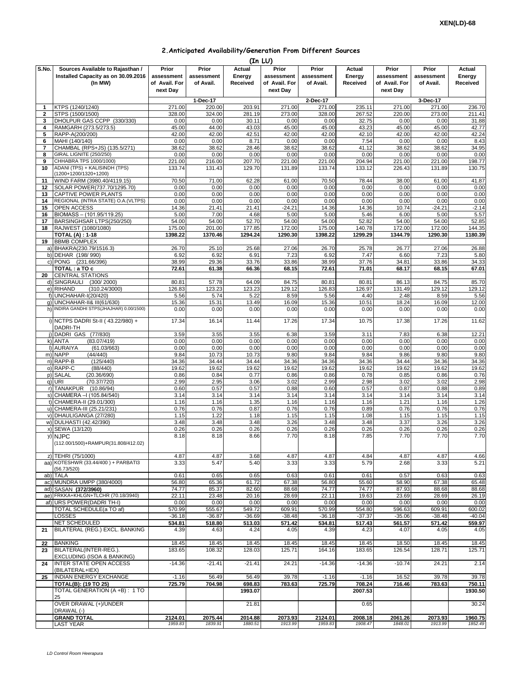## **2.Anticipated Availability/Generation From Different Sources**

| (In LU)        |                                                        |               |            |          |               |            |               |               |            |               |  |
|----------------|--------------------------------------------------------|---------------|------------|----------|---------------|------------|---------------|---------------|------------|---------------|--|
| S.No.          | Sources Available to Rajasthan /                       | Prior         | Prior      | Actual   | Prior         | Prior      | Actual        | Prior         | Prior      | Actual        |  |
|                | Installed Capacity as on 30.09.2016                    | assessment    | assessment | Energy   | assessment    | assessment | Energy        | assessment    | assessment | Energy        |  |
|                | (In MW)                                                | of Avail. For | of Avail.  | Received | of Avail. For | of Avail.  | Received      | of Avail. For | of Avail.  | Received      |  |
|                |                                                        | next Day      |            |          | next Day      |            |               | next Day      |            |               |  |
|                |                                                        |               | 1-Dec-17   |          |               | 2-Dec-17   |               |               | 3-Dec-17   |               |  |
| 1              | KTPS (1240/1240)                                       | 271.00        | 220.00     | 203.91   | 271.00        | 271.00     | 235.11        | 271.00        | 271.00     | 236.70        |  |
| $\mathbf{2}$   | STPS (1500/1500)                                       | 328.00        | 324.00     | 281.19   | 273.00        | 328.00     | 267.52        | 220.00        | 273.00     | 211.41        |  |
| 3              | DHOLPUR GAS CCPP (330/330)                             | 0.00          | 0.00       | 30.11    | 0.00          | 0.00       | 32.75         | 0.00          | 0.00       | 31.88         |  |
| 4              | RAMGARH (273.5/273.5)                                  | 45.00         | 44.00      | 43.03    | 45.00         | 45.00      | 43.23         | 45.00         | 45.00      | 42.77         |  |
| 5              | RAPP-A(200/200)                                        | 42.00         | 42.00      | 42.51    | 42.00         | 42.00      | 42.10         | 42.00         | 42.00      | 42.24         |  |
| 6              | MAHI (140/140)                                         | 0.00          | 0.00       | 8.71     | 0.00          | 0.00       | 7.54          | 0.00          | 0.00       | 8.43          |  |
| $\overline{7}$ | CHAMBAL (RPS+JS) (135.5/271)                           | 38.62         | 38.62      | 28.46    | 38.62         | 38.62      | 41.12         | 38.62         | 38.62      | 34.95         |  |
| 8              | GIRAL LIGNITE (250/250)                                | 0.00          | 0.00       | 0.00     | 0.00          | 0.00       | 0.00          | 0.00          | 0.00       | 0.00          |  |
| 9              | CHHABRA TPS 1000/1000)                                 | 221.00        | 216.00     | 207.70   | 221.00        | 221.00     | 204.94        | 221.00        | 221.00     | 198.77        |  |
| 10             | ADANI (TPS) + KALISINDH (TPS)<br>(1200+1200/1320+1200) | 133.74        | 131.43     | 129.70   | 131.89        | 133.74     | 133.12        | 226.43        | 131.89     | 130.75        |  |
| 11             | WIND FARM (3980.40/4119.15)                            | 70.50         | 71.00      | 62.28    | 61.00         | 70.50      | 78.44         | 38.00         | 61.00      | 41.87         |  |
| 12             | SOLAR POWER(737.70/1295.70)                            | 0.00          | 0.00       | 0.00     | 0.00          | 0.00       | 0.00          | 0.00          | 0.00       | 0.00          |  |
| 13             | CAPTIVE POWER PLANTS                                   | 0.00          | 0.00       | 0.00     | 0.00          | 0.00       | 0.00          | 0.00          | 0.00       | 0.00          |  |
| 14             | REGIONAL (INTRA STATE) O.A. (VLTPS)                    | 0.00          | 0.00       | 0.00     | 0.00          | 0.00       | 0.00          | 0.00          | 0.00       | 0.00          |  |
| 15             | OPEN ACCESS                                            | 14.36         | 21.41      | 21.41    | $-24.21$      | 14.36      | 14.36         | 10.74         | $-24.21$   | $-2.14$       |  |
| 16             | BIOMASS - (101.95/119.25)                              | 5.00          | 7.00       | 4.68     | 5.00          | 5.00       | 5.46          | 6.00          | 5.00       | 5.57          |  |
| 17             | BARSINGHSAR LTPS(250/250)                              | 54.00         | 54.00      | 52.70    | 54.00         | 54.00      | 52.82         | 54.00         | 54.00      | 52.85         |  |
| 18             | RAJWEST (1080/1080)                                    | 175.00        | 201.00     | 177.85   | 172.00        | 175.00     | 140.78        | 172.00        | 172.00     | 144.35        |  |
|                | <b>TOTAL (A): 1-18</b>                                 | 1398.22       | 1370.46    | 1294.24  | 1290.30       | 1398.22    | 1299.29       | 1344.79       | 1290.30    | 1180.39       |  |
| 19             | <b>BBMB COMPLEX</b>                                    |               |            |          |               |            |               |               |            |               |  |
|                | a) BHAKRA(230.79/1516.3)                               | 26.70         | 25.10      | 25.68    | 27.06         | 26.70      | 25.78         | 26.77         | 27.06      | 26.88         |  |
|                | b) DEHAR (198/990)                                     | 6.92          | 6.92       | 6.91     | 7.23          | 6.92       | 7.47          | 6.60          | 7.23       | 5.80          |  |
|                | c) PONG (231.66/396)                                   | 38.99         | 29.36      | 33.76    | 33.86         | 38.99      | 37.76         | 34.81         | 33.86      | 34.33         |  |
|                | TOTAL: a TO c                                          | 72.61         | 61.38      | 66.36    | 68.15         | 72.61      | 71.01         | 68.17         | 68.15      | 67.01         |  |
| 20             | <b>CENTRAL STATIONS</b>                                |               |            |          |               |            |               |               |            |               |  |
|                | d) SINGRAULI<br>(300/2000)                             | 80.81         | 57.78      | 64.09    | 84.75         | 80.81      | 80.81         | 86.13         | 84.75      | 85.70         |  |
|                | e) RIHAND<br>(310.24/3000)                             | 126.83        | 123.23     | 123.23   | 129.12        | 126.83     | 126.97        | 131.49        | 129.12     | 129.12        |  |
|                | f) UNCHAHAR-I(20/420)                                  | 5.56          | 5.74       | 5.22     | 8.59          | 5.56       | 4.40          | 2.48          | 8.59       | 5.56          |  |
|                | q) UNCHAHAR-II& III(61/630)                            | 15.36         | 15.31      | 13.49    | 16.09         | 15.36      | 10.51         | 18.24         | 16.09      | 12.00         |  |
|                | h) INDIRA GANDHI STPS(JHAJHAR) 0.00/1500)              | 0.00          | 0.00       | 0.00     | 0.00          | 0.00       | 0.00          | 0.00          | 0.00       | 0.00          |  |
|                | i) NCTPS DADRI St-II (43.22/980) +                     | 17.34         | 16.14      | 11.44    | 17.26         | 17.34      | 10.75         | 17.38         | 17.26      | 11.62         |  |
|                | DADRI-TH                                               |               |            |          |               |            |               |               |            |               |  |
|                | j) DADRI GAS (77/830)                                  | 3.59          | 3.55       | 3.55     | 6.38          | 3.59       | 3.11          | 7.83          | 6.38       | 12.21         |  |
|                | k) ANTA<br>(83.07/419)                                 | 0.00          | 0.00       | 0.00     | 0.00          | 0.00       | 0.00          | 0.00          | 0.00       | 0.00          |  |
|                | I) AURAIYA<br>(61.03/663)                              | 0.00          | 0.00       | 0.00     | 0.00          | 0.00       | 0.00          | 0.00          | 0.00       | 0.00          |  |
|                | m) NAPP<br>(44/440)                                    | 9.84          | 10.73      | 10.73    | 9.80          | 9.84       | 9.84          | 9.86          | 9.80       | 9.80          |  |
|                | n) RAPP-B<br>(125/440)                                 | 34.36         | 34.44      | 34.44    | 34.36         | 34.36      | 34.36         | 34.44         | 34.36      | 34.36         |  |
|                | o) RAPP-C<br>(88/440)                                  | 19.62         | 19.62      | 19.62    | 19.62         | 19.62      | 19.62         | 19.62         | 19.62      | 19.62         |  |
|                | p) SALAL<br>(20.36/690)                                | 0.86          | 0.84       | 0.77     | 0.86          | 0.86       | 0.78          | 0.85          | 0.86       | 0.76          |  |
|                | (70.37/720)<br>q) URI                                  | 2.99          | 2.95       | 3.06     | 3.02          | 2.99       | 2.98          | 3.02          | 3.02       | 2.98          |  |
|                | r) TANAKPUR (10.86/94)                                 | 0.60          | 0.57       | 0.57     | 0.88          | 0.60       | 0.57          | 0.87          | 0.88       | 0.89          |  |
|                | s) CHAMERA - (105.84/540)                              | 3.14          | 3.14       | 3.14     | 3.14          | 3.14       | 3.14          | 3.14          | 3.14       | 3.14          |  |
|                | t) CHAMERA-II (29.01/300)                              | 1.16          | 1.16       | 1.35     | 1.16          | 1.16       | 1.16          | 1.21          | 1.16       | 1.26          |  |
|                | u) CHAMERA-III (25.21/231)                             | 0.76          | 0.76       | 0.87     | 0.76          | 0.76       | 0.89          | 0.76          | 0.76       | 0.76          |  |
|                | v) DHAULIGANGA (27/280)                                | 1.15          | 1.22       | 1.18     | 1.15          | 1.15       | 1.08          | 1.15          | 1.15       | 1.15          |  |
|                | w) DULHASTI (42.42/390)                                | 3.48          | 3.48       | 3.48     | 3.26          | 3.48       | 3.48          | 3.37          | 3.26       | 3.26          |  |
|                | x) SEWA (13/120)                                       | 0.26          | 0.26       | 0.26     | 0.26          | 0.26       | 0.26          | 0.26          | 0.26       | 0.26          |  |
|                | y) NJPC<br>(112.00/1500)+RAMPUR(31.808/412.02)         | 8.18          | 8.18       | 8.66     | 7.70          | 8.18       | 7.85          | 7.70          | 7.70       | 7.70          |  |
|                |                                                        |               |            |          |               |            |               |               |            |               |  |
|                | z) TEHRI (75/1000)                                     | 4.87          | 4.87       | 3.68     | 4.87          | 4.87       | 4.84          | 4.87          | 4.87       | 4.66          |  |
|                | aa) KOTESHWR (33.44/400) + PARBATI3                    | 3.33          | 5.47       | 5.40     | 3.33          | 3.33       | 5.79          | 2.68          | 3.33       | 5.21          |  |
|                | (56.73/520)<br>ab) TALA                                | 0.61          | 0.65       | 0.65     | 0.63          | 0.61       |               | 0.57          | 0.63       |               |  |
|                | ac) MUNDRA UMPP (380/4000)                             | 56.80         | 65.36      | 61.72    | 67.38         | 56.80      | 0.61<br>55.60 | 58.90         | 67.38      | 0.63<br>65.48 |  |
|                | ad) SASAN (372/3960)                                   | 74.77         | 85.37      | 82.60    | 88.68         | 74.77      | 74.77         | 87.93         | 88.68      | 88.68         |  |
|                | ae) FRKKA+KHLGN+TLCHR (70.18/3940)                     | 22.11         | 23.48      | 20.16    | 28.69         | 22.11      | 19.63         | 23.69         | 28.69      | 26.19         |  |
|                | af) URS POWER(DADRI TH-I)                              | 0.00          | 0.00       | 0.00     | 0.00          | 0.00       | 0.00          | 0.00          | 0.00       | 0.00          |  |
|                | TOTAL SCHEDULE(a TO af)                                | 570.99        | 555.67     | 549.72   | 609.91        | 570.99     | 554.80        | 596.63        | 609.91     | 600.02        |  |
|                | LOSSES                                                 | $-36.18$      | $-36.87$   | $-36.69$ | $-38.48$      | $-36.18$   | $-37.37$      | $-35.06$      | $-38.48$   | $-40.04$      |  |
|                | NET SCHEDULED                                          | 534.81        | 518.80     | 513.03   | 571.42        | 534.81     | 517.43        | 561.57        | 571.42     | 559.97        |  |
| 21             | BILATERAL (REG.) EXCL. BANKING                         | 4.39          | 4.63       | 4.24     | 4.05          | 4.39       | 4.23          | 4.07          | 4.05       | 4.05          |  |
| 22             | <b>BANKING</b>                                         | 18.45         | 18.45      | 18.45    | 18.45         | 18.45      | 18.45         | 18.50         | 18.45      | 18.45         |  |
| 23             | BILATERAL(INTER-REG.).<br>EXCLUDING (ISOA & BANKING)   | 183.65        | 108.32     | 128.03   | 125.71        | 164.16     | 183.65        | 126.54        | 128.71     | 125.71        |  |
| 24             | <b>INTER STATE OPEN ACCESS</b><br>(BILATERAL+IEX)      | $-14.36$      | $-21.41$   | $-21.41$ | 24.21         | $-14.36$   | $-14.36$      | $-10.74$      | 24.21      | 2.14          |  |
| 25             | <b>INDIAN ENERGY EXCHANGE</b>                          | $-1.16$       | 56.49      | 56.49    | 39.78         | $-1.16$    | $-1.16$       | 16.52         | 39.78      | 39.78         |  |
|                | <b>TOTAL(B): (19 TO 25)</b>                            | 725.79        | 704.98     | 698.83   | 783.63        | 725.79     | 708.24        | 716.46        | 783.63     | 750.11        |  |
|                | TOTAL GENERATION (A +B): 1 TO<br>25                    |               |            | 1993.07  |               |            | 2007.53       |               |            | 1930.50       |  |
|                | OVER DRAWAL (+)/UNDER<br>DRAWAL (-)                    |               |            | 21.81    |               |            | 0.65          |               |            | 30.24         |  |
|                | <b>GRAND TOTAL</b>                                     | 2124.01       | 2075.44    | 2014.88  | 2073.93       | 2124.01    | 2008.18       | 2061.26       | 2073.93    | 1960.75       |  |
|                | <b>LAST YEAR</b>                                       | 1959.83       | 1839.91    | 1880.51  | 1913.99       | 1959.83    | 1908.47       | 1848.01       | 1913.99    | 1852.49       |  |
|                |                                                        |               |            |          |               |            |               |               |            |               |  |